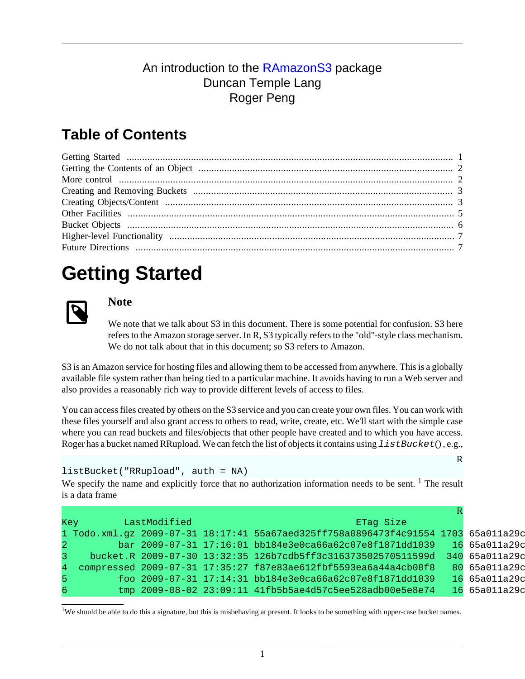#### An introduction to the [RAmazonS3](http://www.omegahat.org/RAmazonS3) package Duncan Temple Lang Roger Peng

### **Table of Contents**

# <span id="page-0-0"></span>**Getting Started**



#### **Note**

We note that we talk about S3 in this document. There is some potential for confusion. S3 here refers to the Amazon storage server. In R, S3 typically refers to the "old"-style class mechanism. We do not talk about that in this document; so S3 refers to Amazon.

S3 is an Amazon service for hosting files and allowing them to be accessed from anywhere. This is a globally available file system rather than being tied to a particular machine. It avoids having to run a Web server and also provides a reasonably rich way to provide different levels of access to files.

You can access files created by others on the S3 service and you can create your own files. You can work with these files yourself and also grant access to others to read, write, create, etc. We'll start with the simple case where you can read buckets and files/objects that other people have created and to which you have access. Roger has a bucket named RRupload. We can fetch the list of objects it contains using  $listBlocket()$ , e.g.,

#### listBucket("RRupload", auth = NA)

We specify the name and explicitly force that no authorization information needs to be sent.  $\frac{1}{1}$  The result is a data frame

|    | <b>Key</b>     | LastModified |                                                                                    | ETag Size |               |
|----|----------------|--------------|------------------------------------------------------------------------------------|-----------|---------------|
|    |                |              | 1 Todo.xml.gz 2009-07-31 18:17:41 55a67aed325ff758a0896473f4c91554 1703 65a011a29d |           |               |
|    | $\overline{2}$ |              | bar 2009-07-31 17:16:01 bb184e3e0ca66a62c07e8f1871dd1039                           |           | 1665a011a29c  |
|    | 3.             |              | bucket.R 2009-07-30 13:32:35 126b7cdb5ff3c316373502570511599d 340 65a011a29c       |           |               |
|    |                |              | 4 compressed 2009-07-31 17:35:27 f87e83ae612fbf5593ea6a44a4cb08f8                  |           | 80 65a011a29d |
| 5. |                |              | foo 2009-07-31 17:14:31 bb184e3e0ca66a62c07e8f1871dd1039                           |           | 16 65a011a29d |
| 6  |                |              | tmp  2009-08-02  23:09:11  41fb5b5ae4d57c5ee528adb00e5e8e74                        |           | 16 65a011a29d |

<sup>1</sup>We should be able to do this a signature, but this is misbehaving at present. It looks to be something with upper-case bucket names.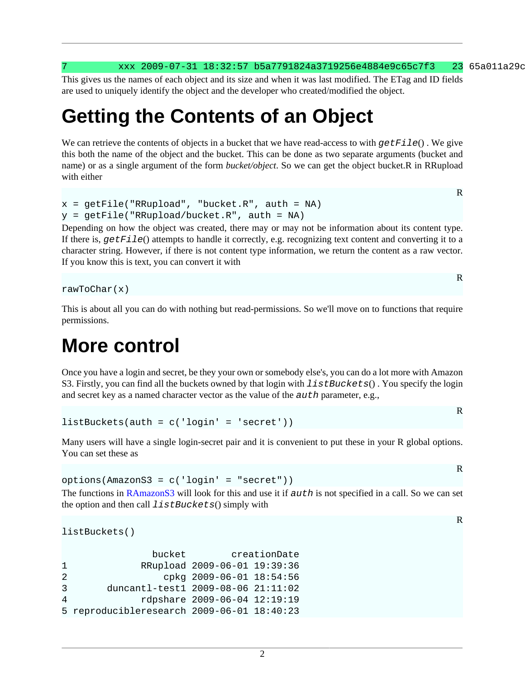xxx 2009-07-31 18:32:57 b5a7791824a3719256e4884e9c65c7f3 23 65a011a29c

This gives us the names of each object and its size and when it was last modified. The ETag and ID fields are used to uniquely identify the object and the developer who created/modified the object.

## <span id="page-1-0"></span>**Getting the Contents of an Object**

We can retrieve the contents of objects in a bucket that we have read-access to with  $getFile()$ . We give this both the name of the object and the bucket. This can be done as two separate arguments (bucket and name) or as a single argument of the form *bucket/object*. So we can get the object bucket.R in RRupload with either

```
x = getFile("RRupload", "bucket.R", author = NA)y = getFile('RRupload/bucket.R", auth = NA)
```
Depending on how the object was created, there may or may not be information about its content type. If there is,  $getFile()$  attempts to handle it correctly, e.g. recognizing text content and converting it to a character string. However, if there is not content type information, we return the content as a raw vector. If you know this is text, you can convert it with

rawToChar(x)

This is about all you can do with nothing but read-permissions. So we'll move on to functions that require permissions.

## <span id="page-1-1"></span>**More control**

Once you have a login and secret, be they your own or somebody else's, you can do a lot more with Amazon S3. Firstly, you can find all the buckets owned by that login with *listBuckets()*. You specify the login and secret key as a named character vector as the value of the auth parameter, e.g.,

```
listBuckets(auth = c('login' = 'secret'))
```
Many users will have a single login-secret pair and it is convenient to put these in your R global options. You can set these as

options(AmazonS3 = c('login' = "secret")) The functions in [RAmazonS3](http://www.omegahat.org/RAmazonS3) will look for this and use it if  $auth$  is not specified in a call. So we can set the option and then call  $listBuckets()$  simply with

```
listBuckets()
```

|                | bucket                                     |                              | creationDate |
|----------------|--------------------------------------------|------------------------------|--------------|
| 1.             |                                            | RRupload 2009-06-01 19:39:36 |              |
| $\overline{2}$ |                                            | cpkg $2009-06-01$ $18:54:56$ |              |
| 3              | duncantl-test1 2009-08-06 21:11:02         |                              |              |
| 4              |                                            | rdpshare 2009-06-04 12:19:19 |              |
|                | 5 reproducibleresearch 2009-06-01 18:40:23 |                              |              |

R

R

R

R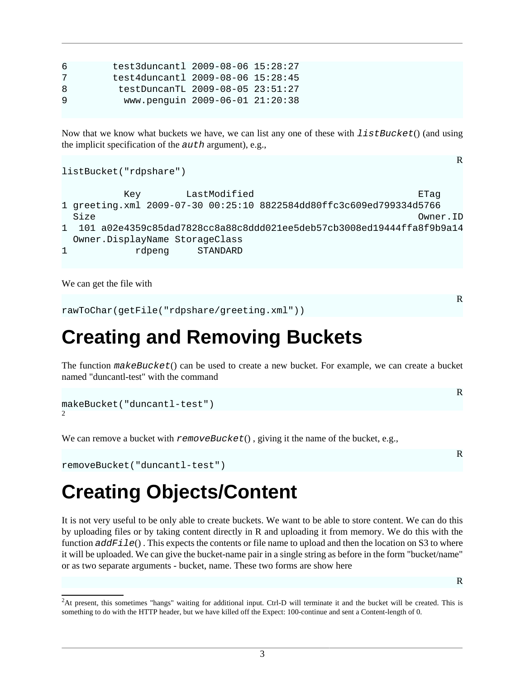| 6 | test3duncant1 2009-08-06 15:28:27 |  |
|---|-----------------------------------|--|
| 7 | test4duncantl 2009-08-06 15:28:45 |  |
| 8 | testDuncanTL 2009-08-05 23:51:27  |  |
| 9 | www.penquin 2009-06-01 21:20:38   |  |

Now that we know what buckets we have, we can list any one of these with  $listBlocket()$  (and using the implicit specification of the  $a$ uth argument), e.g.,

R

```
Key LastModified ETag
1 greeting.xml 2009-07-30 00:25:10 8822584dd80ffc3c609ed799334d5766
 Size Owner.ID
1 101 a02e4359c85dad7828cc8a88c8ddd021ee5deb57cb3008ed19444ffa8f9b9a14
  Owner.DisplayName StorageClass
1 rdpeng STANDARD
```
We can get the file with

listBucket("rdpshare")

rawToChar(getFile("rdpshare/greeting.xml"))

## <span id="page-2-0"></span>**Creating and Removing Buckets**

The function makeBucket() can be used to create a new bucket. For example, we can create a bucket named "duncantl-test" with the command

```
makeBucket("duncantl-test")
\overline{2}
```
We can remove a bucket with  $removeBuckets()$ , giving it the name of the bucket, e.g.,

```
removeBucket("duncantl-test")
```
# <span id="page-2-1"></span>**Creating Objects/Content**

It is not very useful to be only able to create buckets. We want to be able to store content. We can do this by uploading files or by taking content directly in R and uploading it from memory. We do this with the function  $\triangleleft dF \perp e()$ . This expects the contents or file name to upload and then the location on S3 to where it will be uploaded. We can give the bucket-name pair in a single string as before in the form "bucket/name" or as two separate arguments - bucket, name. These two forms are show here

R

R

R

<sup>&</sup>lt;sup>2</sup>At present, this sometimes "hangs" waiting for additional input. Ctrl-D will terminate it and the bucket will be created. This is something to do with the HTTP header, but we have killed off the Expect: 100-continue and sent a Content-length of 0.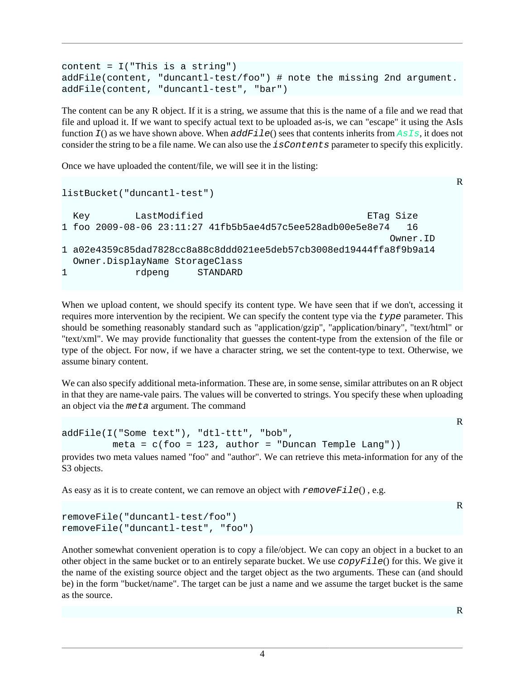```
content = I("This is a string")addFile(content, "duncantl-test/foo") # note the missing 2nd argument.
addFile(content, "duncantl-test", "bar")
```
The content can be any R object. If it is a string, we assume that this is the name of a file and we read that file and upload it. If we want to specify actual text to be uploaded as-is, we can "escape" it using the AsIs function  $I$ () as we have shown above. When  $\vec{addF1le}$  sees that contents inherits from  $\vec{AssIs}$ , it does not consider the string to be a file name. We can also use the isContents parameter to specify this explicitly.

Once we have uploaded the content/file, we will see it in the listing:

```
R
listBucket("duncantl-test")
 Key LastModified ETag Size
1 foo 2009-08-06 23:11:27 41fb5b5ae4d57c5ee528adb00e5e8e74 16
 Owner.ID
1 a02e4359c85dad7828cc8a88c8ddd021ee5deb57cb3008ed19444ffa8f9b9a14
  Owner.DisplayName StorageClass
1 rdpeng STANDARD
```
When we upload content, we should specify its content type. We have seen that if we don't, accessing it requires more intervention by the recipient. We can specify the content type via the type parameter. This should be something reasonably standard such as "application/gzip", "application/binary", "text/html" or "text/xml". We may provide functionality that guesses the content-type from the extension of the file or type of the object. For now, if we have a character string, we set the content-type to text. Otherwise, we assume binary content.

We can also specify additional meta-information. These are, in some sense, similar attributes on an R object in that they are name-vale pairs. The values will be converted to strings. You specify these when uploading an object via the meta argument. The command

```
addFile(I("Some text"), "dtl-ttt", "bob",
           meta = c(foo = 123, author = "Duncan Temple Lang"))
provides two meta values named "foo" and "author". We can retrieve this meta-information for any of the
S<sub>3</sub> objects.
```
As easy as it is to create content, we can remove an object with  $removeFile()$ , e.g.

```
removeFile("duncantl-test/foo")
removeFile("duncantl-test", "foo")
```
Another somewhat convenient operation is to copy a file/object. We can copy an object in a bucket to an other object in the same bucket or to an entirely separate bucket. We use  $copyFile()$  for this. We give it the name of the existing source object and the target object as the two arguments. These can (and should be) in the form "bucket/name". The target can be just a name and we assume the target bucket is the same as the source.

R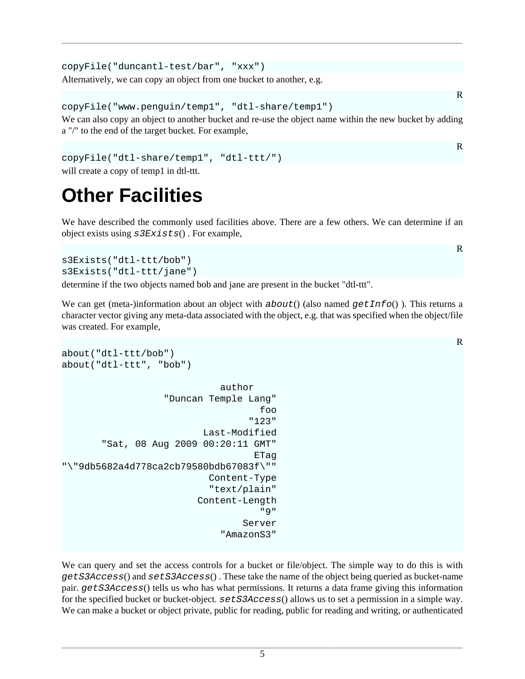```
copyFile("duncantl-test/bar", "xxx")
Alternatively, we can copy an object from one bucket to another, e.g.
```

```
copyFile("www.penguin/temp1", "dtl-share/temp1")
```
We can also copy an object to another bucket and re-use the object name within the new bucket by adding a "/" to the end of the target bucket. For example,

```
copyFile("dtl-share/temp1", "dtl-ttt/")
will create a copy of temp1 in dtl-ttt.
```
# <span id="page-4-0"></span>**Other Facilities**

We have described the commonly used facilities above. There are a few others. We can determine if an object exists using  $s3Exists()$ . For example,

```
s3Exists("dtl-ttt/bob")
s3Exists("dtl-ttt/jane")
```
determine if the two objects named bob and jane are present in the bucket "dtl-ttt".

We can get (meta-)information about an object with  $about()$  (also named  $getInfo()$ ). This returns a character vector giving any meta-data associated with the object, e.g. that was specified when the object/file was created. For example,

```
about("dtl-ttt/bob")
about("dtl-ttt", "bob")
                                     author
                        "Duncan Temple Lang"
 foo
 "123"
                                 Last-Modified
          "Sat, 08 Aug 2009 00:20:11 GMT"
en de la component de la component de la component de la component de la component de la component de la compo<br>La component de la component de la component de la component de la component de la component de la component d
"\"9db5682a4d778ca2cb79580bdb67083f\""
                                  Content-Type
                                   "text/plain"
                                Content-Length
 "9"
                                          Server
                                     "AmazonS3"
```
We can query and set the access controls for a bucket or file/object. The simple way to do this is with getS3Access() and setS3Access() . These take the name of the object being queried as bucket-name pair. getS3Access() tells us who has what permissions. It returns a data frame giving this information for the specified bucket or bucket-object.  $s \in \text{ES3Access}()$  allows us to set a permission in a simple way. We can make a bucket or object private, public for reading, public for reading and writing, or authenticated

R

R

R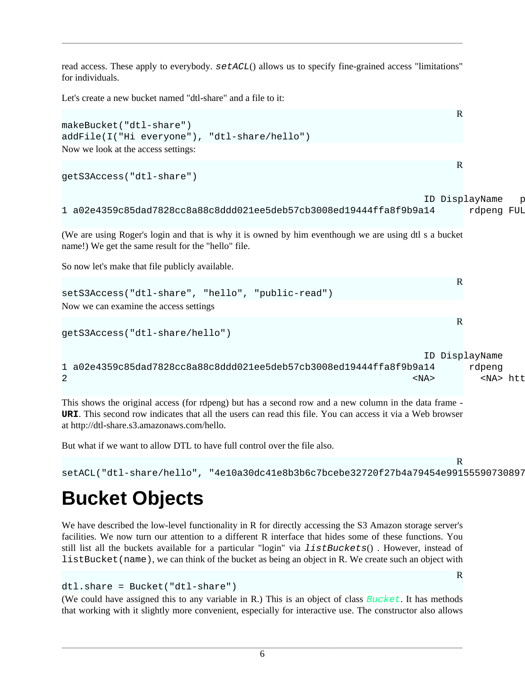read access. These apply to everybody.  $setACL()$  allows us to specify fine-grained access "limitations" for individuals.

Let's create a new bucket named "dtl-share" and a file to it:

```
R
makeBucket("dtl-share")
addFile(I("Hi everyone"), "dtl-share/hello")
Now we look at the access settings:
                                                                              R
getS3Access("dtl-share")
                                                                       ID DisplayName p
1 a02e4359c85dad7828cc8a88c8ddd021ee5deb57cb3008ed19444ffa8f9b9a14 rdpeng FUL
(We are using Roger's login and that is why it is owned by him eventhough we are using dtl s a bucket
name!) We get the same result for the "hello" file.
So now let's make that file publicly available.
                                                                              R
setS3Access("dtl-share", "hello", "public-read")
Now we can examine the access settings
                                                                              R
getS3Access("dtl-share/hello")
ID DisplayName URI permission of the URI permission of the URI permission of the URI permission of the URI permission of the URI permission of the URI permission of the URI permission of the URI permission of the URI permi
1 a02e4359c85dad7828cc8a88c8ddd021ee5deb57cb3008ed19444ffa8f9b9a14 rdpeng
2 <NA> <NA> http://acs.amazonaws.com/groups/global/AllUsers READ
```
This shows the original access (for rdpeng) but has a second row and a new column in the data frame - **URI**. This second row indicates that all the users can read this file. You can access it via a Web browser at [http://dtl-share.s3.amazonaws.com/hello.](http://dtl-share.s3.amazonaws.com/hello)

But what if we want to allow DTL to have full control over the file also.

```
setACL("dtl-share/hello", "4e10a30dc41e8b3b6c7bcebe32720f27b4a79454e99155590730897
```
R

R

# <span id="page-5-0"></span>**Bucket Objects**

We have described the low-level functionality in R for directly accessing the S3 Amazon storage server's facilities. We now turn our attention to a different R interface that hides some of these functions. You still list all the buckets available for a particular "login" via *listBuckets*(). However, instead of listBucket(name), we can think of the bucket as being an object in R. We create such an object with

```
dtl.share = Bucket("dtl-share")
```
(We could have assigned this to any variable in R.) This is an object of class  $Bucket$ . It has methods that working with it slightly more convenient, especially for interactive use. The constructor also allows